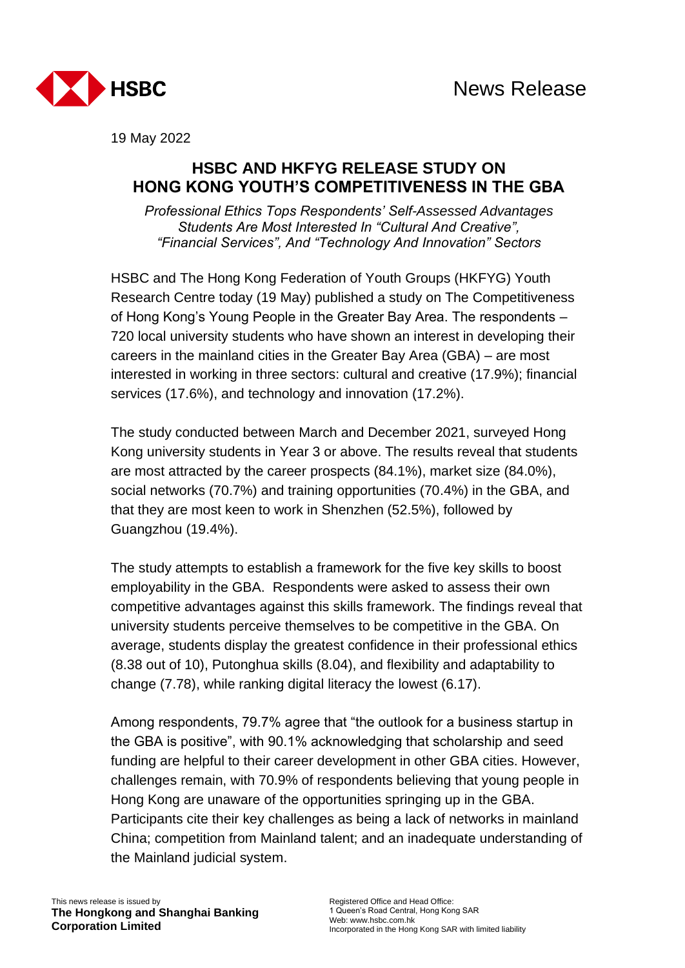

19 May 2022

## **HSBC AND HKFYG RELEASE STUDY ON HONG KONG YOUTH'S COMPETITIVENESS IN THE GBA**

*Professional Ethics Tops Respondents' Self-Assessed Advantages Students Are Most Interested In "Cultural And Creative", "Financial Services", And "Technology And Innovation" Sectors*

HSBC and The Hong Kong Federation of Youth Groups (HKFYG) Youth Research Centre today (19 May) published a study on The Competitiveness of Hong Kong's Young People in the Greater Bay Area. The respondents – 720 local university students who have shown an interest in developing their careers in the mainland cities in the Greater Bay Area (GBA) – are most interested in working in three sectors: cultural and creative (17.9%); financial services (17.6%), and technology and innovation (17.2%).

The study conducted between March and December 2021, surveyed Hong Kong university students in Year 3 or above. The results reveal that students are most attracted by the career prospects (84.1%), market size (84.0%), social networks (70.7%) and training opportunities (70.4%) in the GBA, and that they are most keen to work in Shenzhen (52.5%), followed by Guangzhou (19.4%).

The study attempts to establish a framework for the five key skills to boost employability in the GBA. Respondents were asked to assess their own competitive advantages against this skills framework. The findings reveal that university students perceive themselves to be competitive in the GBA. On average, students display the greatest confidence in their professional ethics (8.38 out of 10), Putonghua skills (8.04), and flexibility and adaptability to change (7.78), while ranking digital literacy the lowest (6.17).

Among respondents, 79.7% agree that "the outlook for a business startup in the GBA is positive", with 90.1% acknowledging that scholarship and seed funding are helpful to their career development in other GBA cities. However, challenges remain, with 70.9% of respondents believing that young people in Hong Kong are unaware of the opportunities springing up in the GBA. Participants cite their key challenges as being a lack of networks in mainland China; competition from Mainland talent; and an inadequate understanding of the Mainland judicial system.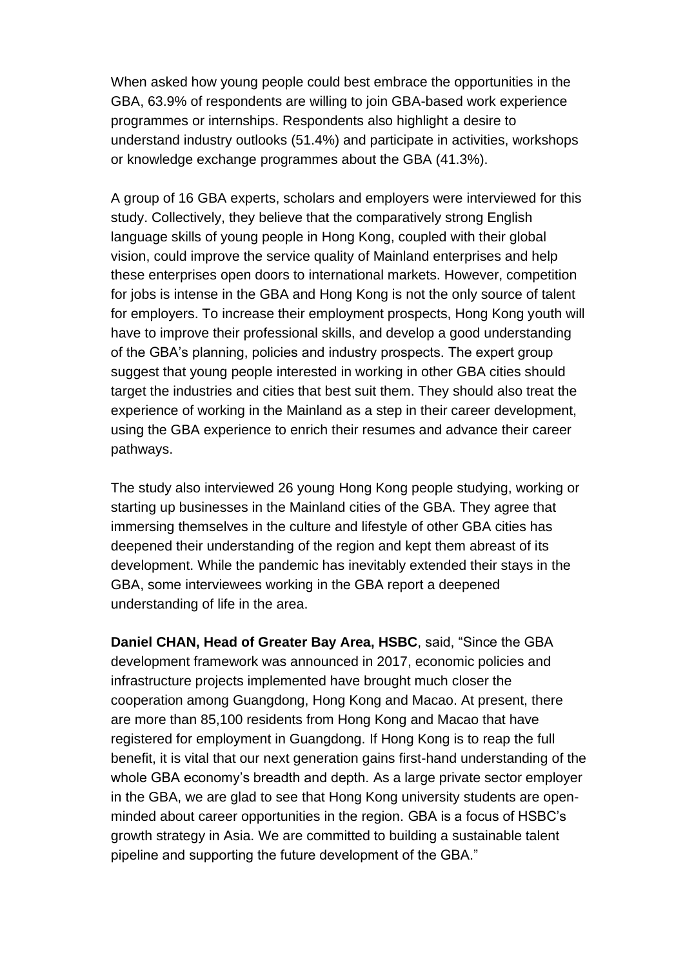When asked how young people could best embrace the opportunities in the GBA, 63.9% of respondents are willing to join GBA-based work experience programmes or internships. Respondents also highlight a desire to understand industry outlooks (51.4%) and participate in activities, workshops or knowledge exchange programmes about the GBA (41.3%).

A group of 16 GBA experts, scholars and employers were interviewed for this study. Collectively, they believe that the comparatively strong English language skills of young people in Hong Kong, coupled with their global vision, could improve the service quality of Mainland enterprises and help these enterprises open doors to international markets. However, competition for jobs is intense in the GBA and Hong Kong is not the only source of talent for employers. To increase their employment prospects, Hong Kong youth will have to improve their professional skills, and develop a good understanding of the GBA's planning, policies and industry prospects. The expert group suggest that young people interested in working in other GBA cities should target the industries and cities that best suit them. They should also treat the experience of working in the Mainland as a step in their career development, using the GBA experience to enrich their resumes and advance their career pathways.

The study also interviewed 26 young Hong Kong people studying, working or starting up businesses in the Mainland cities of the GBA. They agree that immersing themselves in the culture and lifestyle of other GBA cities has deepened their understanding of the region and kept them abreast of its development. While the pandemic has inevitably extended their stays in the GBA, some interviewees working in the GBA report a deepened understanding of life in the area.

**Daniel CHAN, Head of Greater Bay Area, HSBC**, said, "Since the GBA development framework was announced in 2017, economic policies and infrastructure projects implemented have brought much closer the cooperation among Guangdong, Hong Kong and Macao. At present, there are more than 85,100 residents from Hong Kong and Macao that have registered for employment in Guangdong. If Hong Kong is to reap the full benefit, it is vital that our next generation gains first-hand understanding of the whole GBA economy's breadth and depth. As a large private sector employer in the GBA, we are glad to see that Hong Kong university students are openminded about career opportunities in the region. GBA is a focus of HSBC's growth strategy in Asia. We are committed to building a sustainable talent pipeline and supporting the future development of the GBA."